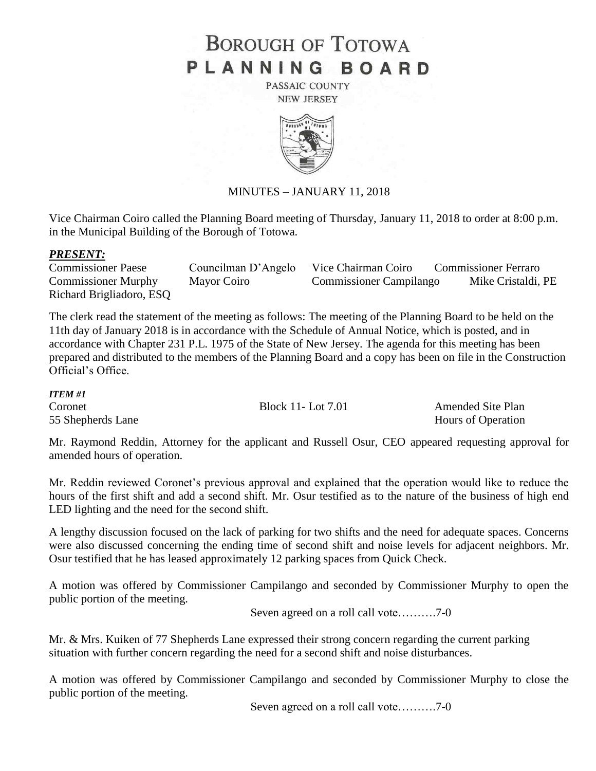## **BOROUGH OF TOTOWA** PLANNING BOARD

PASSAIC COUNTY **NEW JERSEY** 



## MINUTES – JANUARY 11, 2018

Vice Chairman Coiro called the Planning Board meeting of Thursday, January 11, 2018 to order at 8:00 p.m. in the Municipal Building of the Borough of Totowa.

## *PRESENT:*

| <b>Commissioner Paese</b>  | Councilman D'Angelo | Vice Chairman Coiro            | <b>Commissioner Ferraro</b> |
|----------------------------|---------------------|--------------------------------|-----------------------------|
| <b>Commissioner Murphy</b> | Mayor Coiro         | <b>Commissioner Campilango</b> | Mike Cristaldi, PE          |
| Richard Brigliadoro, ESQ   |                     |                                |                             |

The clerk read the statement of the meeting as follows: The meeting of the Planning Board to be held on the 11th day of January 2018 is in accordance with the Schedule of Annual Notice, which is posted, and in accordance with Chapter 231 P.L. 1975 of the State of New Jersey. The agenda for this meeting has been prepared and distributed to the members of the Planning Board and a copy has been on file in the Construction Official's Office.

*ITEM #1* Coronet Block 11- Lot 7.01 Amended Site Plan 55 Shepherds Lane Hours of Operation

Mr. Raymond Reddin, Attorney for the applicant and Russell Osur, CEO appeared requesting approval for amended hours of operation.

Mr. Reddin reviewed Coronet's previous approval and explained that the operation would like to reduce the hours of the first shift and add a second shift. Mr. Osur testified as to the nature of the business of high end LED lighting and the need for the second shift.

A lengthy discussion focused on the lack of parking for two shifts and the need for adequate spaces. Concerns were also discussed concerning the ending time of second shift and noise levels for adjacent neighbors. Mr. Osur testified that he has leased approximately 12 parking spaces from Quick Check.

A motion was offered by Commissioner Campilango and seconded by Commissioner Murphy to open the public portion of the meeting.

Seven agreed on a roll call vote……….7-0

Mr. & Mrs. Kuiken of 77 Shepherds Lane expressed their strong concern regarding the current parking situation with further concern regarding the need for a second shift and noise disturbances.

A motion was offered by Commissioner Campilango and seconded by Commissioner Murphy to close the public portion of the meeting.

Seven agreed on a roll call vote……….7-0